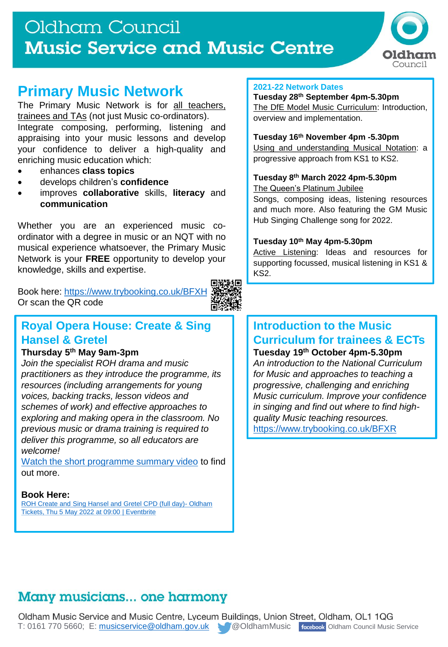## Oldham Council **Music Service and Music Centre**



## **Primary Music Network**

The Primary Music Network is for all teachers, trainees and TAs (not just Music co-ordinators). Integrate composing, performing, listening and appraising into your music lessons and develop your confidence to deliver a high-quality and enriching music education which:

- enhances **class topics**
- develops children's **confidence**
- improves **collaborative** skills, **literacy** and **communication**

Whether you are an experienced music coordinator with a degree in music or an NQT with no musical experience whatsoever, the Primary Music Network is your **FREE** opportunity to develop your knowledge, skills and expertise.

Book here: <https://www.trybooking.co.uk/BFXH> Or scan the QR code



### **Royal Opera House: Create & Sing Hansel & Gretel**

#### **Thursday 5 th May 9am-3pm**

*Join the specialist ROH drama and music practitioners as they introduce the programme, its resources (including arrangements for young voices, backing tracks, lesson videos and schemes of work) and effective approaches to exploring and making opera in the classroom. No previous music or drama training is required to deliver this programme, so all educators are welcome!*

[Watch the short programme](https://www.youtube.com/watch?v=WZJbDzA51eI&t=4s) summary video to find out more.

#### **Book Here:**

[ROH Create and Sing Hansel and Gretel CPD \(full day\)-](https://www.eventbrite.co.uk/e/roh-create-and-sing-hansel-and-gretel-cpd-full-day-oldham-tickets-208497721297) Oldham Tickets, Thu 5 May 2022 at 09:00 | Eventbrite

#### **2021-22 Network Dates**

#### **Tuesday 28th September 4pm-5.30pm** The DfE Model Music Curriculum: Introduction,

overview and implementation.

#### **Tuesday 16th November 4pm -5.30pm**

Using and understanding Musical Notation: a progressive approach from KS1 to KS2.

#### **Tuesday 8 th March 2022 4pm-5.30pm**

The Queen's Platinum Jubilee

Songs, composing ideas, listening resources and much more. Also featuring the GM Music Hub Singing Challenge song for 2022.

#### **Tuesday 10th May 4pm-5.30pm**

Active Listening: Ideas and resources for supporting focussed, musical listening in KS1 & KS2.

#### **Introduction to the Music Curriculum for trainees & ECTs Tuesday 19th October 4pm-5.30pm**

*An introduction to the National Curriculum for Music and approaches to teaching a progressive, challenging and enriching Music curriculum. Improve your confidence in singing and find out where to find highquality Music teaching resources.*  <https://www.trybooking.co.uk/BFXR>

## Many musicians... one harmony

Oldham Music Service and Music Centre, Lyceum Buildings, Union Street, Oldham, OL1 1QG T: 0161 770 5660; E: [musicservice@oldham.gov.uk](mailto:musicservice@oldham.gov.uk) @OldhamMusic racebook Oldham Council Music Service